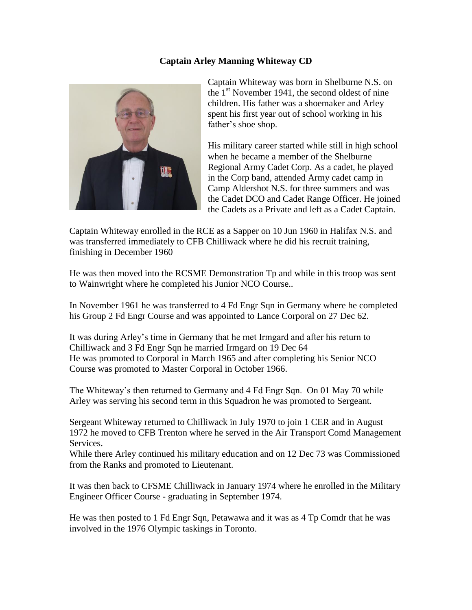## **Captain Arley Manning Whiteway CD**



Captain Whiteway was born in Shelburne N.S. on the  $1<sup>st</sup>$  November 1941, the second oldest of nine children. His father was a shoemaker and Arley spent his first year out of school working in his father's shoe shop.

His military career started while still in high school when he became a member of the Shelburne Regional Army Cadet Corp. As a cadet, he played in the Corp band, attended Army cadet camp in Camp Aldershot N.S. for three summers and was the Cadet DCO and Cadet Range Officer. He joined the Cadets as a Private and left as a Cadet Captain.

Captain Whiteway enrolled in the RCE as a Sapper on 10 Jun 1960 in Halifax N.S. and was transferred immediately to CFB Chilliwack where he did his recruit training, finishing in December 1960

He was then moved into the RCSME Demonstration Tp and while in this troop was sent to Wainwright where he completed his Junior NCO Course..

In November 1961 he was transferred to 4 Fd Engr Sqn in Germany where he completed his Group 2 Fd Engr Course and was appointed to Lance Corporal on 27 Dec 62.

It was during Arley's time in Germany that he met Irmgard and after his return to Chilliwack and 3 Fd Engr Sqn he married Irmgard on 19 Dec 64 He was promoted to Corporal in March 1965 and after completing his Senior NCO Course was promoted to Master Corporal in October 1966.

The Whiteway's then returned to Germany and 4 Fd Engr Sqn. On 01 May 70 while Arley was serving his second term in this Squadron he was promoted to Sergeant.

Sergeant Whiteway returned to Chilliwack in July 1970 to join 1 CER and in August 1972 he moved to CFB Trenton where he served in the Air Transport Comd Management Services.

While there Arley continued his military education and on 12 Dec 73 was Commissioned from the Ranks and promoted to Lieutenant.

It was then back to CFSME Chilliwack in January 1974 where he enrolled in the Military Engineer Officer Course - graduating in September 1974.

He was then posted to 1 Fd Engr Sqn, Petawawa and it was as 4 Tp Comdr that he was involved in the 1976 Olympic taskings in Toronto.